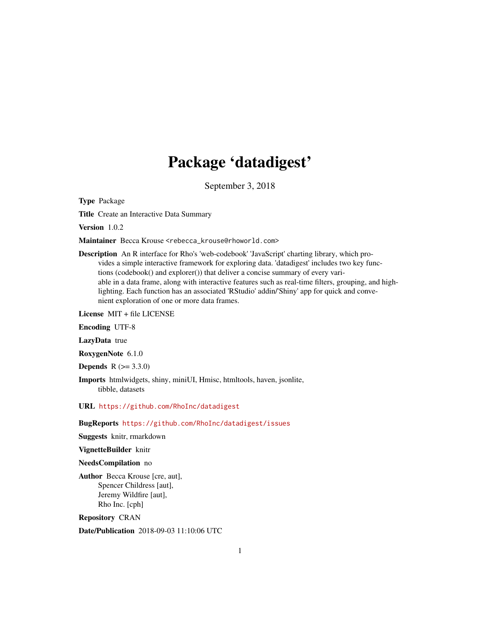## Package 'datadigest'

September 3, 2018

Type Package

Title Create an Interactive Data Summary

Version 1.0.2

Maintainer Becca Krouse <rebecca\_krouse@rhoworld.com>

Description An R interface for Rho's 'web-codebook' 'JavaScript' charting library, which provides a simple interactive framework for exploring data. 'datadigest' includes two key functions (codebook() and explorer()) that deliver a concise summary of every variable in a data frame, along with interactive features such as real-time filters, grouping, and highlighting. Each function has an associated 'RStudio' addin/'Shiny' app for quick and convenient exploration of one or more data frames.

License MIT + file LICENSE

Encoding UTF-8

LazyData true

RoxygenNote 6.1.0

**Depends**  $R (= 3.3.0)$ 

Imports htmlwidgets, shiny, miniUI, Hmisc, htmltools, haven, jsonlite, tibble, datasets

URL <https://github.com/RhoInc/datadigest>

BugReports <https://github.com/RhoInc/datadigest/issues>

Suggests knitr, rmarkdown

VignetteBuilder knitr

#### NeedsCompilation no

Author Becca Krouse [cre, aut], Spencer Childress [aut], Jeremy Wildfire [aut], Rho Inc. [cph]

Repository CRAN

Date/Publication 2018-09-03 11:10:06 UTC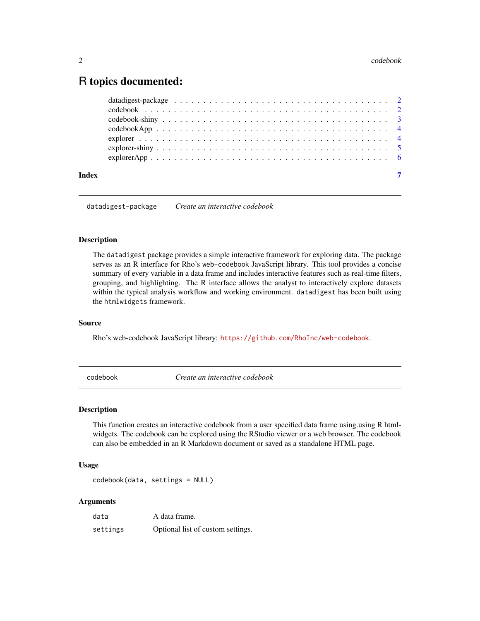### <span id="page-1-0"></span>R topics documented:

| Index |  |
|-------|--|

datadigest-package *Create an interactive codebook*

#### Description

The datadigest package provides a simple interactive framework for exploring data. The package serves as an R interface for Rho's web-codebook JavaScript library. This tool provides a concise summary of every variable in a data frame and includes interactive features such as real-time filters, grouping, and highlighting. The R interface allows the analyst to interactively explore datasets within the typical analysis workflow and working environment. datadigest has been built using the htmlwidgets framework.

#### Source

Rho's web-codebook JavaScript library: <https://github.com/RhoInc/web-codebook>.

codebook *Create an interactive codebook*

#### **Description**

This function creates an interactive codebook from a user specified data frame using.using R htmlwidgets. The codebook can be explored using the RStudio viewer or a web browser. The codebook can also be embedded in an R Markdown document or saved as a standalone HTML page.

#### Usage

codebook(data, settings = NULL)

#### Arguments

| data     | A data frame.                     |
|----------|-----------------------------------|
| settings | Optional list of custom settings. |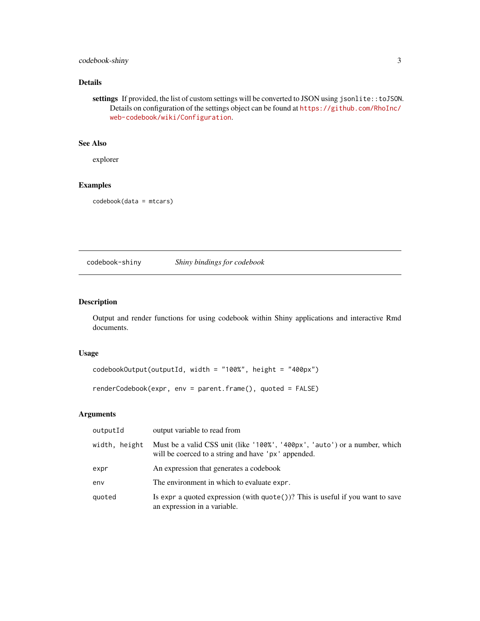#### <span id="page-2-0"></span>codebook-shiny 3

#### Details

settings If provided, the list of custom settings will be converted to JSON using jsonlite:: toJSON. Details on configuration of the settings object can be found at [https://github.com/RhoInc/](https://github.com/RhoInc/web-codebook/wiki/Configuration) [web-codebook/wiki/Configuration](https://github.com/RhoInc/web-codebook/wiki/Configuration).

#### See Also

explorer

#### Examples

codebook(data = mtcars)

codebook-shiny *Shiny bindings for codebook*

#### Description

Output and render functions for using codebook within Shiny applications and interactive Rmd documents.

#### Usage

```
codebookOutput(outputId, width = "100%", height = "400px")
renderCodebook(expr, env = parent.frame(), quoted = FALSE)
```
#### Arguments

| outputId      | output variable to read from                                                                                                      |
|---------------|-----------------------------------------------------------------------------------------------------------------------------------|
| width, height | Must be a valid CSS unit (like '100%', '400px', 'auto') or a number, which<br>will be coerced to a string and have 'px' appended. |
| expr          | An expression that generates a codebook                                                                                           |
| env           | The environment in which to evaluate expr.                                                                                        |
| quoted        | Is expr a quoted expression (with $\text{quote}()$ )? This is useful if you want to save<br>an expression in a variable.          |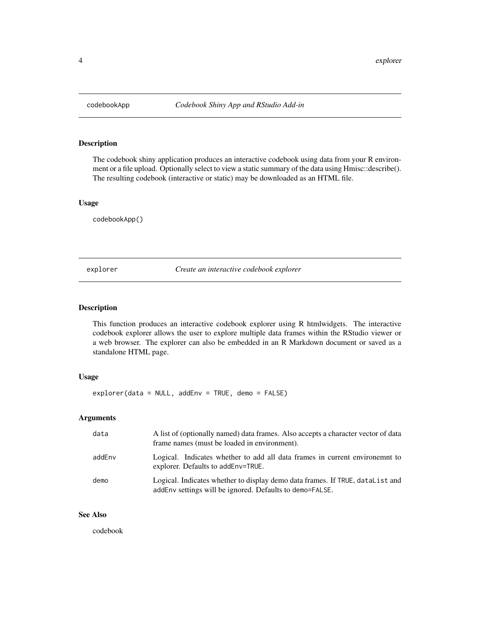<span id="page-3-0"></span>

#### Description

The codebook shiny application produces an interactive codebook using data from your R environment or a file upload. Optionally select to view a static summary of the data using Hmisc::describe(). The resulting codebook (interactive or static) may be downloaded as an HTML file.

#### Usage

codebookApp()

explorer *Create an interactive codebook explorer*

#### Description

This function produces an interactive codebook explorer using R htmlwidgets. The interactive codebook explorer allows the user to explore multiple data frames within the RStudio viewer or a web browser. The explorer can also be embedded in an R Markdown document or saved as a standalone HTML page.

#### Usage

explorer(data = NULL, addEnv = TRUE, demo = FALSE)

#### Arguments

| data   | A list of (optionally named) data frames. Also accepts a character vector of data<br>frame names (must be loaded in environment).        |
|--------|------------------------------------------------------------------------------------------------------------------------------------------|
| addEnv | Logical. Indicates whether to add all data frames in current environemnt to<br>explorer. Defaults to addEnv=TRUE.                        |
| demo   | Logical. Indicates whether to display demodata frames. If TRUE, dataList and<br>addEnv settings will be ignored. Defaults to demo=FALSE. |

#### See Also

codebook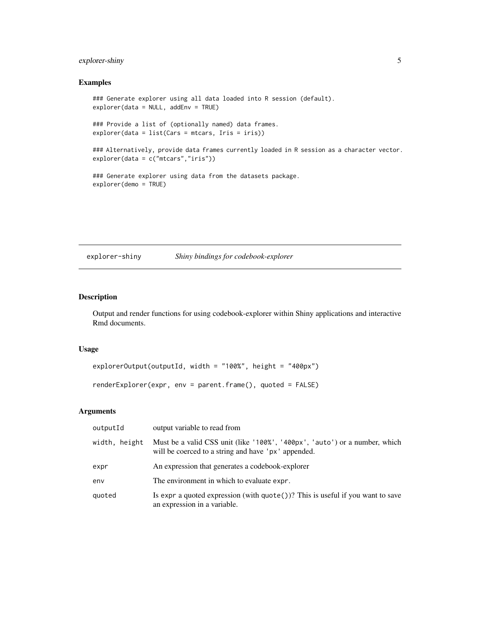#### <span id="page-4-0"></span>explorer-shiny 5

#### Examples

```
### Generate explorer using all data loaded into R session (default).
explorer(data = NULL, addEnv = TRUE)
### Provide a list of (optionally named) data frames.
explorer(data = list(Cars = mtcars, Iris = iris))
### Alternatively, provide data frames currently loaded in R session as a character vector.
explorer(data = c("mtcars","iris"))
### Generate explorer using data from the datasets package.
explorer(demo = TRUE)
```
explorer-shiny *Shiny bindings for codebook-explorer*

#### Description

Output and render functions for using codebook-explorer within Shiny applications and interactive Rmd documents.

#### Usage

```
explorerOutput(outputId, width = "100%", height = "400px")
renderExplorer(expr, env = parent.frame(), quoted = FALSE)
```
#### Arguments

| outputId      | output variable to read from                                                                                                      |
|---------------|-----------------------------------------------------------------------------------------------------------------------------------|
| width, height | Must be a valid CSS unit (like '100%', '400px', 'auto') or a number, which<br>will be coerced to a string and have 'px' appended. |
| expr          | An expression that generates a codebook-explorer                                                                                  |
| env           | The environment in which to evaluate expr.                                                                                        |
| quoted        | Is expr a quoted expression (with $\text{quote}()$ )? This is useful if you want to save<br>an expression in a variable.          |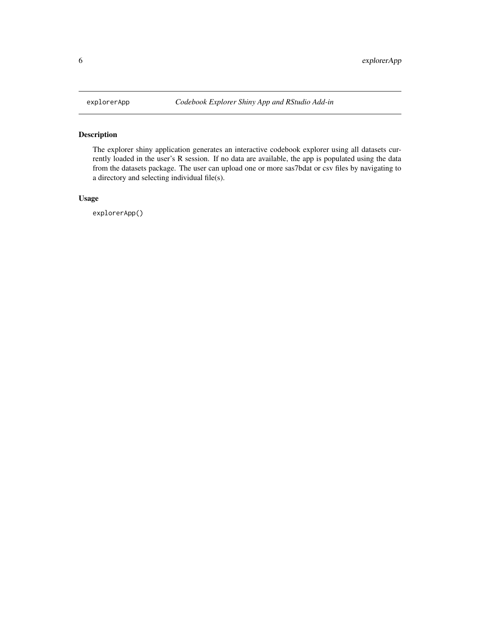<span id="page-5-0"></span>

#### Description

The explorer shiny application generates an interactive codebook explorer using all datasets currently loaded in the user's R session. If no data are available, the app is populated using the data from the datasets package. The user can upload one or more sas7bdat or csv files by navigating to a directory and selecting individual file(s).

#### Usage

explorerApp()